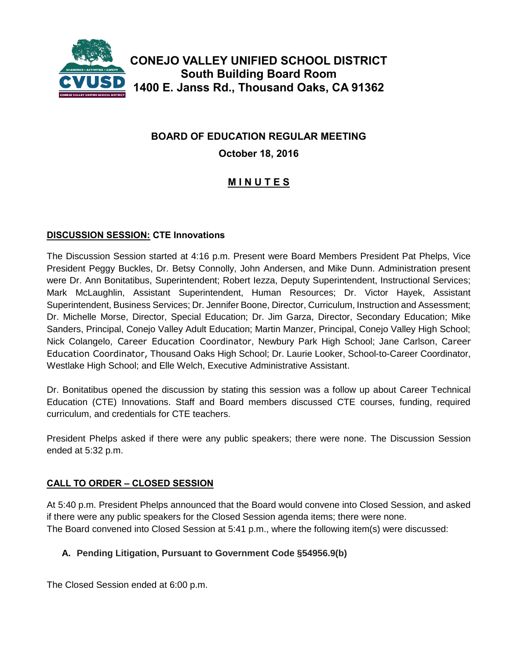

**CONEJO VALLEY UNIFIED SCHOOL DISTRICT South Building Board Room 1400 E. Janss Rd., Thousand Oaks, CA 91362**

# **BOARD OF EDUCATION REGULAR MEETING**

**October 18, 2016**

# **M I N U T E S**

# **DISCUSSION SESSION: CTE Innovations**

The Discussion Session started at 4:16 p.m. Present were Board Members President Pat Phelps, Vice President Peggy Buckles, Dr. Betsy Connolly, John Andersen, and Mike Dunn. Administration present were Dr. Ann Bonitatibus, Superintendent; Robert Iezza, Deputy Superintendent, Instructional Services; Mark McLaughlin, Assistant Superintendent, Human Resources; Dr. Victor Hayek, Assistant Superintendent, Business Services; Dr. Jennifer Boone, Director, Curriculum, Instruction and Assessment; Dr. Michelle Morse, Director, Special Education; Dr. Jim Garza, Director, Secondary Education; Mike Sanders, Principal, Conejo Valley Adult Education; Martin Manzer, Principal, Conejo Valley High School; Nick Colangelo, Career Education Coordinator, Newbury Park High School; Jane Carlson, Career Education Coordinator, Thousand Oaks High School; Dr. Laurie Looker, School-to-Career Coordinator, Westlake High School; and Elle Welch, Executive Administrative Assistant.

Dr. Bonitatibus opened the discussion by stating this session was a follow up about Career Technical Education (CTE) Innovations. Staff and Board members discussed CTE courses, funding, required curriculum, and credentials for CTE teachers.

President Phelps asked if there were any public speakers; there were none. The Discussion Session ended at 5:32 p.m.

# **CALL TO ORDER – CLOSED SESSION**

At 5:40 p.m. President Phelps announced that the Board would convene into Closed Session, and asked if there were any public speakers for the Closed Session agenda items; there were none. The Board convened into Closed Session at 5:41 p.m., where the following item(s) were discussed:

# **A. Pending Litigation, Pursuant to Government Code §54956.9(b)**

The Closed Session ended at 6:00 p.m.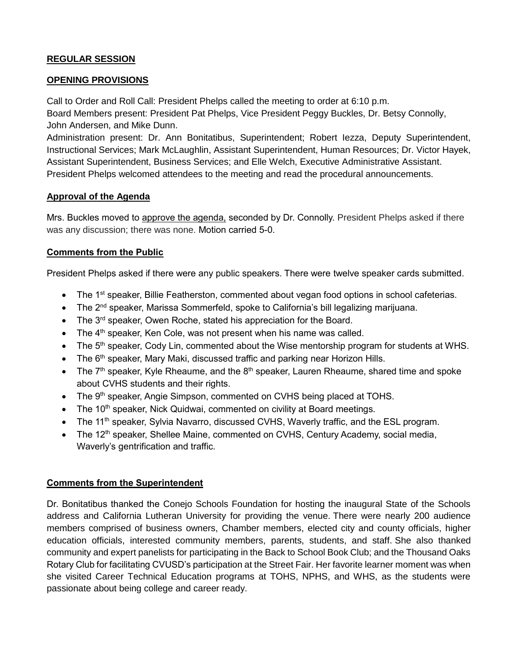# **REGULAR SESSION**

#### **OPENING PROVISIONS**

Call to Order and Roll Call: President Phelps called the meeting to order at 6:10 p.m. Board Members present: President Pat Phelps, Vice President Peggy Buckles, Dr. Betsy Connolly, John Andersen, and Mike Dunn.

Administration present: Dr. Ann Bonitatibus, Superintendent; Robert Iezza, Deputy Superintendent, Instructional Services; Mark McLaughlin, Assistant Superintendent, Human Resources; Dr. Victor Hayek, Assistant Superintendent, Business Services; and Elle Welch, Executive Administrative Assistant. President Phelps welcomed attendees to the meeting and read the procedural announcements.

#### **Approval of the Agenda**

Mrs. Buckles moved to approve the agenda, seconded by Dr. Connolly. President Phelps asked if there was any discussion; there was none. Motion carried 5-0.

#### **Comments from the Public**

President Phelps asked if there were any public speakers. There were twelve speaker cards submitted.

- $\bullet$  The 1<sup>st</sup> speaker, Billie Featherston, commented about vegan food options in school cafeterias.
- $\bullet$  The 2<sup>nd</sup> speaker, Marissa Sommerfeld, spoke to California's bill legalizing marijuana.
- $\bullet$  The 3<sup>rd</sup> speaker, Owen Roche, stated his appreciation for the Board.
- $\bullet$  The 4<sup>th</sup> speaker, Ken Cole, was not present when his name was called.
- $\bullet$  The 5<sup>th</sup> speaker, Cody Lin, commented about the Wise mentorship program for students at WHS.
- The  $6<sup>th</sup>$  speaker, Mary Maki, discussed traffic and parking near Horizon Hills.
- The  $7<sup>th</sup>$  speaker, Kyle Rheaume, and the  $8<sup>th</sup>$  speaker, Lauren Rheaume, shared time and spoke about CVHS students and their rights.
- $\bullet$  The 9<sup>th</sup> speaker, Angie Simpson, commented on CVHS being placed at TOHS.
- $\bullet$  The 10<sup>th</sup> speaker, Nick Quidwai, commented on civility at Board meetings.
- The 11<sup>th</sup> speaker, Sylvia Navarro, discussed CVHS, Waverly traffic, and the ESL program.
- The 12<sup>th</sup> speaker, Shellee Maine, commented on CVHS, Century Academy, social media, Waverly's gentrification and traffic.

#### **Comments from the Superintendent**

Dr. Bonitatibus thanked the Conejo Schools Foundation for hosting the inaugural State of the Schools address and California Lutheran University for providing the venue. There were nearly 200 audience members comprised of business owners, Chamber members, elected city and county officials, higher education officials, interested community members, parents, students, and staff. She also thanked community and expert panelists for participating in the Back to School Book Club; and the Thousand Oaks Rotary Club for facilitating CVUSD's participation at the Street Fair. Her favorite learner moment was when she visited Career Technical Education programs at TOHS, NPHS, and WHS, as the students were passionate about being college and career ready.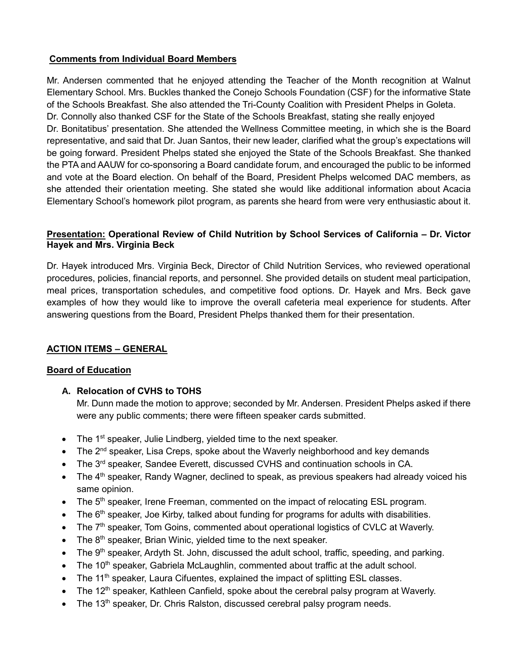# **Comments from Individual Board Members**

Mr. Andersen commented that he enjoyed attending the Teacher of the Month recognition at Walnut Elementary School. Mrs. Buckles thanked the Conejo Schools Foundation (CSF) for the informative State of the Schools Breakfast. She also attended the Tri-County Coalition with President Phelps in Goleta. Dr. Connolly also thanked CSF for the State of the Schools Breakfast, stating she really enjoyed Dr. Bonitatibus' presentation. She attended the Wellness Committee meeting, in which she is the Board representative, and said that Dr. Juan Santos, their new leader, clarified what the group's expectations will be going forward. President Phelps stated she enjoyed the State of the Schools Breakfast. She thanked the PTA and AAUW for co-sponsoring a Board candidate forum, and encouraged the public to be informed and vote at the Board election. On behalf of the Board, President Phelps welcomed DAC members, as she attended their orientation meeting. She stated she would like additional information about Acacia Elementary School's homework pilot program, as parents she heard from were very enthusiastic about it.

## **Presentation: Operational Review of Child Nutrition by School Services of California – Dr. Victor Hayek and Mrs. Virginia Beck**

Dr. Hayek introduced Mrs. Virginia Beck, Director of Child Nutrition Services, who reviewed operational procedures, policies, financial reports, and personnel. She provided details on student meal participation, meal prices, transportation schedules, and competitive food options. Dr. Hayek and Mrs. Beck gave examples of how they would like to improve the overall cafeteria meal experience for students. After answering questions from the Board, President Phelps thanked them for their presentation.

# **ACTION ITEMS – GENERAL**

# **Board of Education**

# **A. Relocation of CVHS to TOHS**

Mr. Dunn made the motion to approve; seconded by Mr. Andersen. President Phelps asked if there were any public comments; there were fifteen speaker cards submitted.

- $\bullet$  The 1<sup>st</sup> speaker, Julie Lindberg, yielded time to the next speaker.
- The 2<sup>nd</sup> speaker, Lisa Creps, spoke about the Waverly neighborhood and key demands
- The 3<sup>rd</sup> speaker, Sandee Everett, discussed CVHS and continuation schools in CA.
- $\bullet$  The 4<sup>th</sup> speaker, Randy Wagner, declined to speak, as previous speakers had already voiced his same opinion.
- The  $5<sup>th</sup>$  speaker, Irene Freeman, commented on the impact of relocating ESL program.
- $\bullet$  The 6<sup>th</sup> speaker, Joe Kirby, talked about funding for programs for adults with disabilities.
- The  $7<sup>th</sup>$  speaker, Tom Goins, commented about operational logistics of CVLC at Waverly.
- $\bullet$  The 8<sup>th</sup> speaker, Brian Winic, yielded time to the next speaker.
- The 9<sup>th</sup> speaker, Ardyth St. John, discussed the adult school, traffic, speeding, and parking.
- $\bullet$  The 10<sup>th</sup> speaker, Gabriela McLaughlin, commented about traffic at the adult school.
- $\bullet$  The 11<sup>th</sup> speaker, Laura Cifuentes, explained the impact of splitting ESL classes.
- $\bullet$  The 12<sup>th</sup> speaker, Kathleen Canfield, spoke about the cerebral palsy program at Waverly.
- $\bullet$  The 13<sup>th</sup> speaker, Dr. Chris Ralston, discussed cerebral palsy program needs.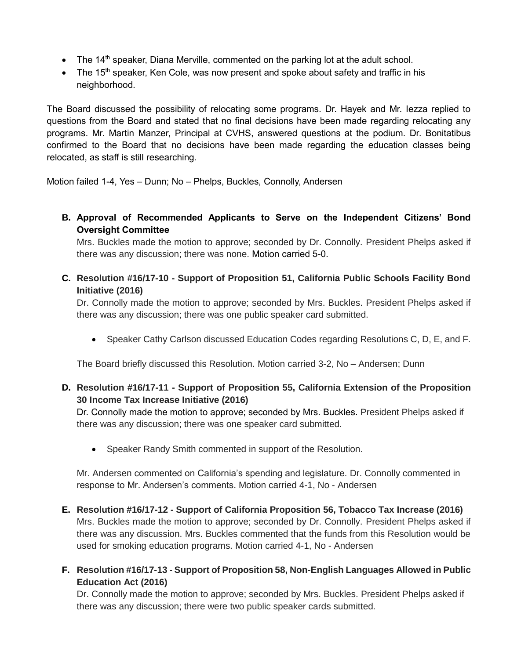- $\bullet$  The 14<sup>th</sup> speaker, Diana Merville, commented on the parking lot at the adult school.
- $\bullet$  The 15<sup>th</sup> speaker, Ken Cole, was now present and spoke about safety and traffic in his neighborhood.

The Board discussed the possibility of relocating some programs. Dr. Hayek and Mr. Iezza replied to questions from the Board and stated that no final decisions have been made regarding relocating any programs. Mr. Martin Manzer, Principal at CVHS, answered questions at the podium. Dr. Bonitatibus confirmed to the Board that no decisions have been made regarding the education classes being relocated, as staff is still researching.

Motion failed 1-4, Yes – Dunn; No – Phelps, Buckles, Connolly, Andersen

**B. Approval of Recommended Applicants to Serve on the Independent Citizens' Bond Oversight Committee**

Mrs. Buckles made the motion to approve; seconded by Dr. Connolly. President Phelps asked if there was any discussion; there was none. Motion carried 5-0.

**C. Resolution #16/17-10 - Support of Proposition 51, California Public Schools Facility Bond Initiative (2016)**

Dr. Connolly made the motion to approve; seconded by Mrs. Buckles. President Phelps asked if there was any discussion; there was one public speaker card submitted.

Speaker Cathy Carlson discussed Education Codes regarding Resolutions C, D, E, and F.

The Board briefly discussed this Resolution. Motion carried 3-2, No – Andersen; Dunn

**D. Resolution #16/17-11 - Support of Proposition 55, California Extension of the Proposition 30 Income Tax Increase Initiative (2016)**

Dr. Connolly made the motion to approve; seconded by Mrs. Buckles. President Phelps asked if there was any discussion; there was one speaker card submitted.

• Speaker Randy Smith commented in support of the Resolution.

Mr. Andersen commented on California's spending and legislature. Dr. Connolly commented in response to Mr. Andersen's comments. Motion carried 4-1, No - Andersen

- **E. Resolution #16/17-12 - Support of California Proposition 56, Tobacco Tax Increase (2016)** Mrs. Buckles made the motion to approve; seconded by Dr. Connolly. President Phelps asked if there was any discussion. Mrs. Buckles commented that the funds from this Resolution would be used for smoking education programs. Motion carried 4-1, No - Andersen
- **F. Resolution #16/17-13 - Support of Proposition 58, Non-English Languages Allowed in Public Education Act (2016)**

Dr. Connolly made the motion to approve; seconded by Mrs. Buckles. President Phelps asked if there was any discussion; there were two public speaker cards submitted.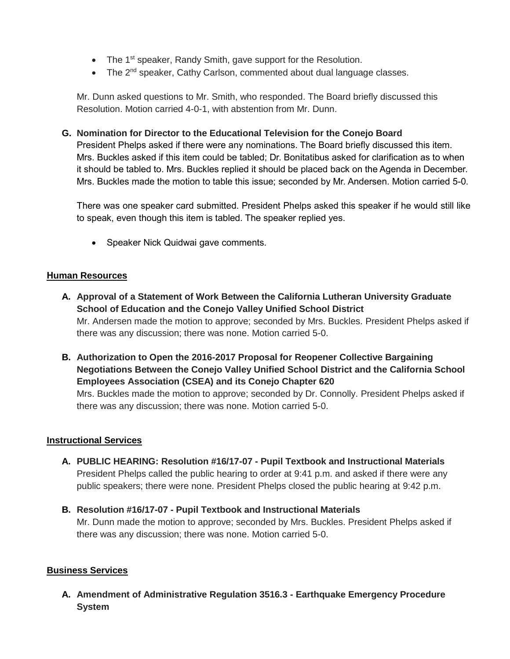- The 1<sup>st</sup> speaker, Randy Smith, gave support for the Resolution.
- $\bullet$  The 2<sup>nd</sup> speaker, Cathy Carlson, commented about dual language classes.

Mr. Dunn asked questions to Mr. Smith, who responded. The Board briefly discussed this Resolution. Motion carried 4-0-1, with abstention from Mr. Dunn.

#### **G. Nomination for Director to the Educational Television for the Conejo Board**

President Phelps asked if there were any nominations. The Board briefly discussed this item. Mrs. Buckles asked if this item could be tabled; Dr. Bonitatibus asked for clarification as to when it should be tabled to. Mrs. Buckles replied it should be placed back on the Agenda in December. Mrs. Buckles made the motion to table this issue; seconded by Mr. Andersen. Motion carried 5-0.

There was one speaker card submitted. President Phelps asked this speaker if he would still like to speak, even though this item is tabled. The speaker replied yes.

• Speaker Nick Quidwai gave comments.

#### **Human Resources**

- **A. Approval of a Statement of Work Between the California Lutheran University Graduate School of Education and the Conejo Valley Unified School District** Mr. Andersen made the motion to approve; seconded by Mrs. Buckles. President Phelps asked if there was any discussion; there was none. Motion carried 5-0.
- **B. Authorization to Open the 2016-2017 Proposal for Reopener Collective Bargaining Negotiations Between the Conejo Valley Unified School District and the California School Employees Association (CSEA) and its Conejo Chapter 620** Mrs. Buckles made the motion to approve; seconded by Dr. Connolly. President Phelps asked if there was any discussion; there was none. Motion carried 5-0.

#### **Instructional Services**

- **A. PUBLIC HEARING: Resolution #16/17-07 - Pupil Textbook and Instructional Materials** President Phelps called the public hearing to order at 9:41 p.m. and asked if there were any public speakers; there were none. President Phelps closed the public hearing at 9:42 p.m.
- **B. Resolution #16/17-07 - Pupil Textbook and Instructional Materials** Mr. Dunn made the motion to approve; seconded by Mrs. Buckles. President Phelps asked if there was any discussion; there was none. Motion carried 5-0.

#### **Business Services**

**A. Amendment of Administrative Regulation 3516.3 - Earthquake Emergency Procedure System**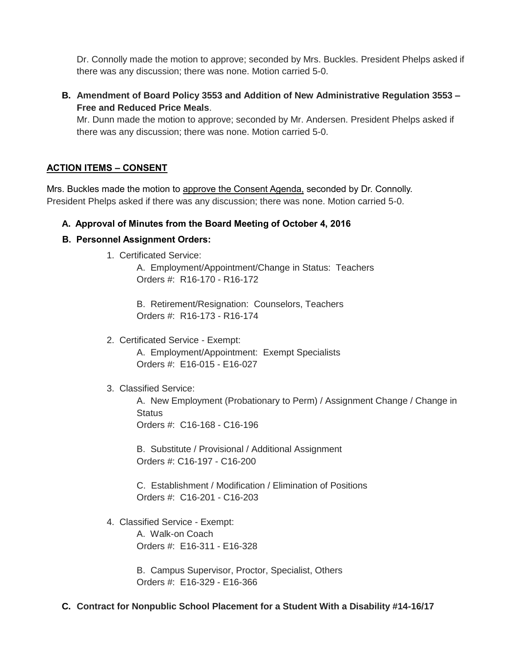Dr. Connolly made the motion to approve; seconded by Mrs. Buckles. President Phelps asked if there was any discussion; there was none. Motion carried 5-0.

**B. Amendment of Board Policy 3553 and Addition of New Administrative Regulation 3553 – Free and Reduced Price Meals**.

Mr. Dunn made the motion to approve; seconded by Mr. Andersen. President Phelps asked if there was any discussion; there was none. Motion carried 5-0.

# **ACTION ITEMS – CONSENT**

Mrs. Buckles made the motion to approve the Consent Agenda, seconded by Dr. Connolly. President Phelps asked if there was any discussion; there was none. Motion carried 5-0.

## **A. Approval of Minutes from the Board Meeting of October 4, 2016**

## **B. Personnel Assignment Orders:**

1. Certificated Service:

 A. Employment/Appointment/Change in Status: Teachers Orders #: R16-170 - R16-172

 B. Retirement/Resignation: Counselors, Teachers Orders #: R16-173 - R16-174

2. Certificated Service - Exempt:

 A. Employment/Appointment: Exempt Specialists Orders #: E16-015 - E16-027

3. Classified Service:

A. New Employment (Probationary to Perm) / Assignment Change / Change in **Status** Orders #: C16-168 - C16-196

 B. Substitute / Provisional / Additional Assignment Orders #: C16-197 - C16-200

 C. Establishment / Modification / Elimination of Positions Orders #: C16-201 - C16-203

4. Classified Service - Exempt:

 A. Walk-on Coach Orders #: E16-311 - E16-328

 B. Campus Supervisor, Proctor, Specialist, Others Orders #: E16-329 - E16-366

#### **C. Contract for Nonpublic School Placement for a Student With a Disability #14-16/17**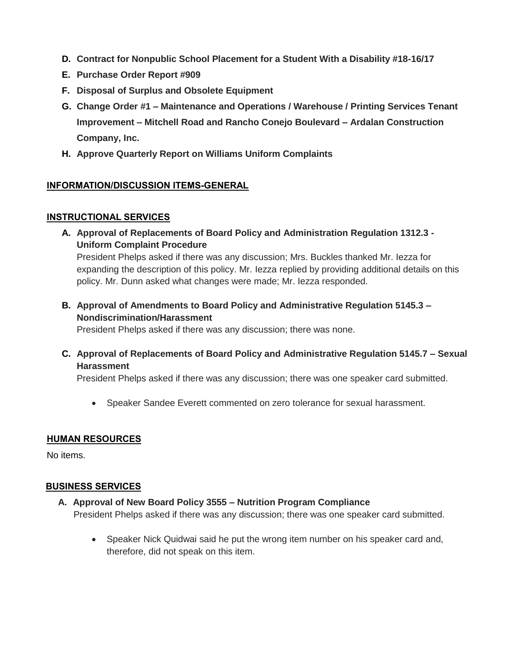- **D. Contract for Nonpublic School Placement for a Student With a Disability #18-16/17**
- **E. Purchase Order Report #909**
- **F. Disposal of Surplus and Obsolete Equipment**
- **G. Change Order #1 – Maintenance and Operations / Warehouse / Printing Services Tenant Improvement – Mitchell Road and Rancho Conejo Boulevard – Ardalan Construction Company, Inc.**
- **H. Approve Quarterly Report on Williams Uniform Complaints**

## **INFORMATION/DISCUSSION ITEMS-GENERAL**

#### **INSTRUCTIONAL SERVICES**

- **A. Approval of Replacements of Board Policy and Administration Regulation 1312.3 - Uniform Complaint Procedure** President Phelps asked if there was any discussion; Mrs. Buckles thanked Mr. Iezza for expanding the description of this policy. Mr. Iezza replied by providing additional details on this policy. Mr. Dunn asked what changes were made; Mr. Iezza responded.
- **B. Approval of Amendments to Board Policy and Administrative Regulation 5145.3 – Nondiscrimination/Harassment**

President Phelps asked if there was any discussion; there was none.

**C. Approval of Replacements of Board Policy and Administrative Regulation 5145.7 – Sexual Harassment**

President Phelps asked if there was any discussion; there was one speaker card submitted.

Speaker Sandee Everett commented on zero tolerance for sexual harassment.

#### **HUMAN RESOURCES**

No items.

#### **BUSINESS SERVICES**

- **A. Approval of New Board Policy 3555 – Nutrition Program Compliance** President Phelps asked if there was any discussion; there was one speaker card submitted.
	- Speaker Nick Quidwai said he put the wrong item number on his speaker card and, therefore, did not speak on this item.